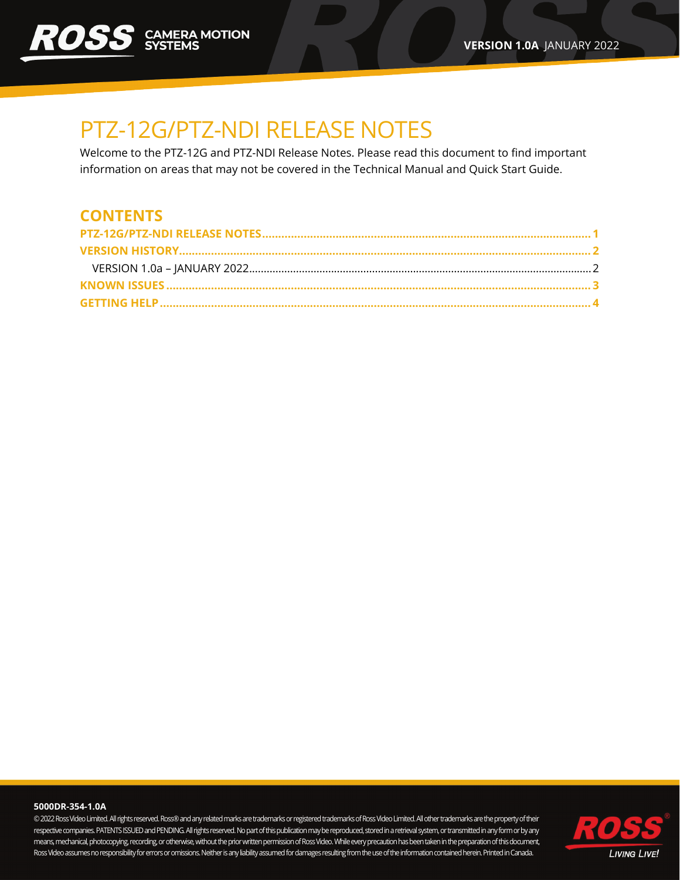# <span id="page-0-0"></span>PTZ-12G/PTZ-NDI RELEASE NOTES

Welcome to the PTZ-12G and PTZ-NDI Release Notes. Please read this document to find important information on areas that may not be covered in the Technical Manual and Quick Start Guide.

### **CONTENTS**

#### **5000DR-354-1.0A**

© 2022Ross Video Limited. All rights reserved. Ross® and any related marks are trademarks or registered trademarks of Ross Video Limited. All other trademarks are the property of their respective companies. PATENTS ISSUED and PENDING. Allrights reserved. No part of this publication may be reproduced, stored in a retrieval system, or transmitted in any form or by any means, mechanical, photocopying, recording, or otherwise, without the prior written permission of Ross Video. While every precaution has been taken in the preparation of this document, Ross Video assumes no responsibility for errors or omissions. Neither is any liability assumed for damages resulting from the use of the information contained herein. Printed in Canada.

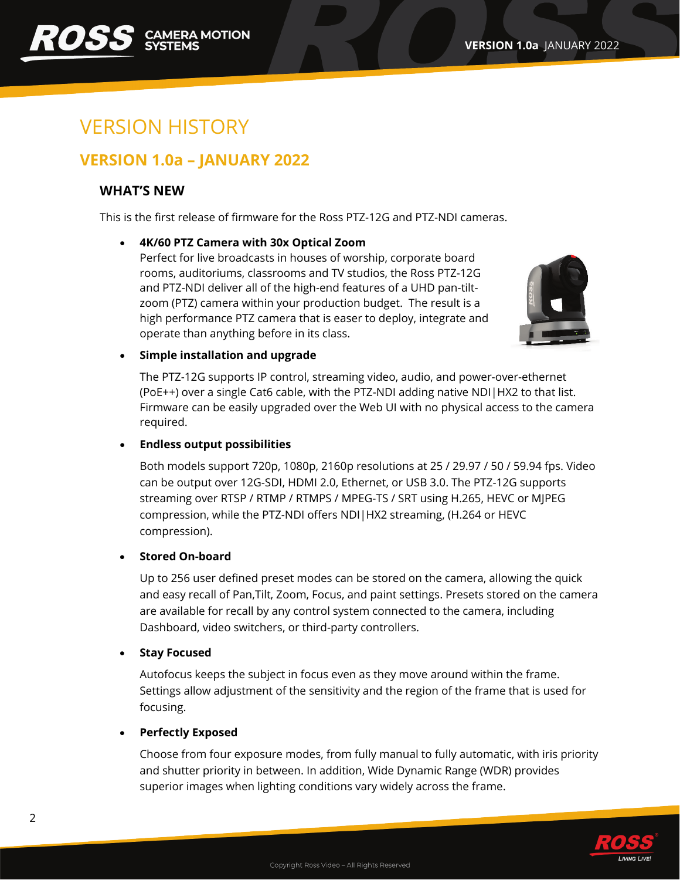# <span id="page-1-0"></span>VERSION HISTORY

### <span id="page-1-1"></span>**VERSION 1.0a – JANUARY 2022**

#### **WHAT'S NEW**

This is the first release of firmware for the Ross PTZ-12G and PTZ-NDI cameras.

#### • **4K/60 PTZ Camera with 30x Optical Zoom**

Perfect for live broadcasts in houses of worship, corporate board rooms, auditoriums, classrooms and TV studios, the Ross PTZ-12G and PTZ-NDI deliver all of the high-end features of a UHD pan-tiltzoom (PTZ) camera within your production budget. The result is a high performance PTZ camera that is easer to deploy, integrate and operate than anything before in its class.



#### • **Simple installation and upgrade**

The PTZ-12G supports IP control, streaming video, audio, and power-over-ethernet (PoE++) over a single Cat6 cable, with the PTZ-NDI adding native NDI|HX2 to that list. Firmware can be easily upgraded over the Web UI with no physical access to the camera required.

#### • **Endless output possibilities**

Both models support 720p, 1080p, 2160p resolutions at 25 / 29.97 / 50 / 59.94 fps. Video can be output over 12G-SDI, HDMI 2.0, Ethernet, or USB 3.0. The PTZ-12G supports streaming over RTSP / RTMP / RTMPS / MPEG-TS / SRT using H.265, HEVC or MJPEG compression, while the PTZ-NDI offers NDI|HX2 streaming, (H.264 or HEVC compression).

#### • **Stored On-board**

Up to 256 user defined preset modes can be stored on the camera, allowing the quick and easy recall of Pan,Tilt, Zoom, Focus, and paint settings. Presets stored on the camera are available for recall by any control system connected to the camera, including Dashboard, video switchers, or third-party controllers.

#### • **Stay Focused**

Autofocus keeps the subject in focus even as they move around within the frame. Settings allow adjustment of the sensitivity and the region of the frame that is used for focusing.

#### • **Perfectly Exposed**

Choose from four exposure modes, from fully manual to fully automatic, with iris priority and shutter priority in between. In addition, Wide Dynamic Range (WDR) provides superior images when lighting conditions vary widely across the frame.

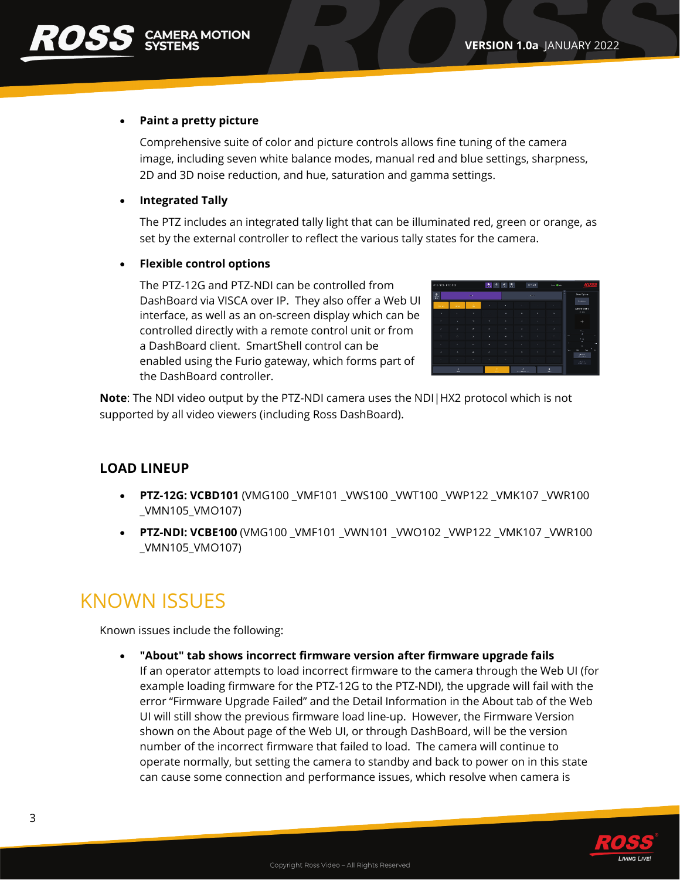#### • **Paint a pretty picture**

Comprehensive suite of color and picture controls allows fine tuning of the camera image, including seven white balance modes, manual red and blue settings, sharpness, 2D and 3D noise reduction, and hue, saturation and gamma settings.

• **Integrated Tally**

The PTZ includes an integrated tally light that can be illuminated red, green or orange, as set by the external controller to reflect the various tally states for the camera.

#### • **Flexible control options**

The PTZ-12G and PTZ-NDI can be controlled from DashBoard via VISCA over IP. They also offer a Web UI interface, as well as an on-screen display which can be controlled directly with a remote control unit or from a DashBoard client. SmartShell control can be enabled using the Furio gateway, which forms part of the DashBoard controller.

| PTZ-NGL-PTZ-NDL  |                |             |                | 出力は良         |                     | ont on                | <b>San Older</b> | ROS                                                                                             |
|------------------|----------------|-------------|----------------|--------------|---------------------|-----------------------|------------------|-------------------------------------------------------------------------------------------------|
| $\bullet$        |                | <b>Cold</b> |                |              |                     | $K \times \mathbb{R}$ |                  | ×<br>Store Option.                                                                              |
| <b>Sales Mar</b> | <b>STORY</b>   | v.          | $\alpha$       | ٠            | <b>STEP</b>         |                       | ×                | <b>COMMON</b><br>Carry Corrol                                                                   |
| ٠                | r.             | ٠           |                | ٠            | $\alpha$            | ×                     | $\alpha$         | 1.31                                                                                            |
| $\sim$           | 12.            | ۰.          | 44             | ×            | $\sim$              | $\sim$                | a.               | $\ddot{}$                                                                                       |
| ×                | ×.             | ×           | ×.             | ٠            | m.                  | <b>A</b>              | a.               | Aug.                                                                                            |
| $\sim$           | $\mathbf{y}_i$ | ٠           | $\overline{a}$ | ×            | $\mathbf{r}$        | ×                     | $\sim$           | ٠<br>$\ddot{\phantom{a}}$<br><b>SPR</b><br>Price.                                               |
| <b>A</b>         | v.             | ×.          | ×              | ٠            | ٠                   | ٠                     | w.               | ٠<br>٠<br>m.                                                                                    |
| ×                | $\alpha$       | ٠           | ٠              | $\mathbf{a}$ | $\alpha$            | m.                    | $\alpha$         | $\sim$<br>$2\mu$<br>ma.<br>ш<br><b>Carl Ford</b><br>All real                                    |
| ×                | ×.             | ×.          | $\sim$         | ٠            | $\sim$              | $\sim$                | 100              | $\frac{\partial \mathbf{u}(\mathbf{f},\mathbf{u})}{\partial \mathbf{u}(\mathbf{f},\mathbf{u})}$ |
| ٠<br>$\sim$      |                |             |                |              | z<br><b>PASSION</b> |                       | п<br>a.          |                                                                                                 |

**Note**: The NDI video output by the PTZ-NDI camera uses the NDI|HX2 protocol which is not supported by all video viewers (including Ross DashBoard).

#### **LOAD LINEUP**

- **PTZ-12G: VCBD101** (VMG100 \_VMF101 \_VWS100 \_VWT100 \_VWP122 \_VMK107 \_VWR100 \_VMN105\_VMO107)
- **PTZ-NDI: VCBE100** (VMG100 VMF101 VWN101 VWO102 VWP122 VMK107 VWR100 \_VMN105\_VMO107)

## <span id="page-2-0"></span>KNOWN ISSUES

Known issues include the following:

• **"About" tab shows incorrect firmware version after firmware upgrade fails** If an operator attempts to load incorrect firmware to the camera through the Web UI (for example loading firmware for the PTZ-12G to the PTZ-NDI), the upgrade will fail with the error "Firmware Upgrade Failed" and the Detail Information in the About tab of the Web UI will still show the previous firmware load line-up. However, the Firmware Version shown on the About page of the Web UI, or through DashBoard, will be the version number of the incorrect firmware that failed to load. The camera will continue to operate normally, but setting the camera to standby and back to power on in this state can cause some connection and performance issues, which resolve when camera is